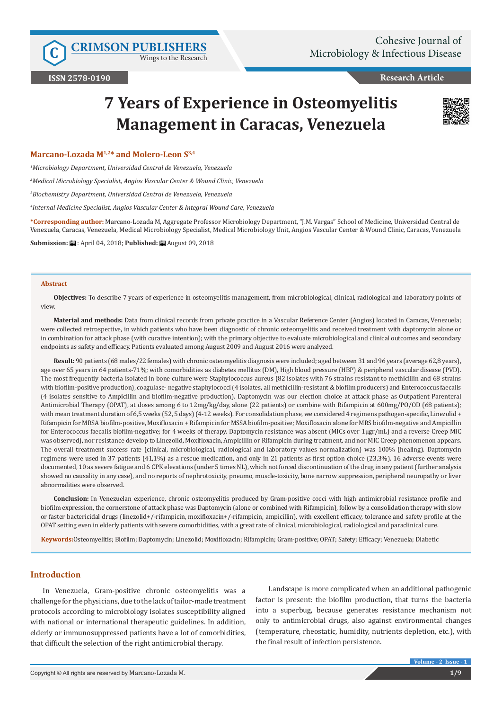Wings to the Research

**Research Article**

# **7 Years of Experience in Osteomyelitis Management in Caracas, Venezuela**



## **Marcano-Lozada M1,2\* and Molero-Leon S3,4**

*1 Microbiology Department, Universidad Central de Venezuela, Venezuela*

*2 Medical Microbiology Specialist, Angios Vascular Center & Wound Clinic, Venezuela*

*3 Biochemistry Department, Universidad Central de Venezuela, Venezuela*

*4 Internal Medicine Specialist, Angios Vascular Center & Integral Wound Care, Venezuela*

**\*Corresponding author:** Marcano-Lozada M, Aggregate Professor Microbiology Department, "J.M. Vargas" School of Medicine, Universidad Central de Venezuela, Caracas, Venezuela, Medical Microbiology Specialist, Medical Microbiology Unit, Angios Vascular Center & Wound Clinic, Caracas, Venezuela

**Submission:** : April 04, 2018; **Published:** August 09, 2018

#### **Abstract**

**Objectives:** To describe 7 years of experience in osteomyelitis management, from microbiological, clinical, radiological and laboratory points of view.

**Material and methods:** Data from clinical records from private practice in a Vascular Reference Center (Angios) located in Caracas, Venezuela; were collected retrospective, in which patients who have been diagnostic of chronic osteomyelitis and received treatment with daptomycin alone or in combination for attack phase (with curative intention); with the primary objective to evaluate microbiological and clinical outcomes and secondary endpoints as safety and efficacy. Patients evaluated among August 2009 and August 2016 were analyzed.

**Result:** 90 patients (68 males/22 females) with chronic osteomyelitis diagnosis were included; aged between 31 and 96 years (average 62,8 years), age over 65 years in 64 patients-71%; with comorbidities as diabetes mellitus (DM), High blood pressure (HBP) & peripheral vascular disease (PVD). The most frequently bacteria isolated in bone culture were Staphylococcus aureus (82 isolates with 76 strains resistant to methicillin and 68 strains with biofilm-positive production), coagulase- negative staphylococci (4 isolates, all methicillin-resistant & biofilm producers) and Enterococcus faecalis (4 isolates sensitive to Ampicillin and biofilm-negative production). Daptomycin was our election choice at attack phase as Outpatient Parenteral Antimicrobial Therapy (OPAT), at doses among 6 to 12mg/kg/day, alone (22 patients) or combine with Rifampicin at 600mg/PO/OD (68 patients); with mean treatment duration of 6,5 weeks (52, 5 days) (4-12 weeks). For consolidation phase, we considered 4 regimens pathogen-specific, Linezolid + Rifampicin for MRSA biofilm-positive, Moxifloxacin + Rifampicin for MSSA biofilm-positive; Moxifloxacin alone for MRS biofilm-negative and Ampicillin for Enterococcus faecalis biofilm-negative; for 4 weeks of therapy. Daptomycin resistance was absent (MICs over 1μgr/mL) and a reverse Creep MIC was observed), nor resistance develop to Linezolid, Moxifloxacin, Ampicillin or Rifampicin during treatment, and nor MIC Creep phenomenon appears. The overall treatment success rate (clinical, microbiological, radiological and laboratory values normalization) was 100% (healing). Daptomycin regimens were used in 37 patients (41,1%) as a rescue medication, and only in 21 patients as first option choice (23,3%). 16 adverse events were documented, 10 as severe fatigue and 6 CPK elevations (under 5 times NL), which not forced discontinuation of the drug in any patient (further analysis showed no causality in any case), and no reports of nephrotoxicity, pneumo, muscle-toxicity, bone narrow suppression, peripheral neuropathy or liver abnormalities were observed.

**Conclusion:** In Venezuelan experience, chronic osteomyelitis produced by Gram-positive cocci with high antimicrobial resistance profile and biofilm expression, the cornerstone of attack phase was Daptomycin (alone or combined with Rifampicin), follow by a consolidation therapy with slow or faster bactericidal drugs (linezolid+/-rifampicin, moxifloxacin+/-rifampicin, ampicillin), with excellent efficacy, tolerance and safety profile at the OPAT setting even in elderly patients with severe comorbidities, with a great rate of clinical, microbiological, radiological and paraclinical cure.

**Keywords:**Osteomyelitis; Biofilm; Daptomycin; Linezolid; Moxifloxacin; Rifampicin; Gram-positive; OPAT; Safety; Efficacy; Venezuela; Diabetic

# **Introduction**

In Venezuela, Gram-positive chronic osteomyelitis was a challenge for the physicians, due to the lack of tailor-made treatment protocols according to microbiology isolates susceptibility aligned with national or international therapeutic guidelines. In addition, elderly or immunosuppressed patients have a lot of comorbidities, that difficult the selection of the right antimicrobial therapy.

Landscape is more complicated when an additional pathogenic factor is present: the biofilm production, that turns the bacteria into a superbug, because generates resistance mechanism not only to antimicrobial drugs, also against environmental changes (temperature, rheostatic, humidity, nutrients depletion, etc.), with the final result of infection persistence.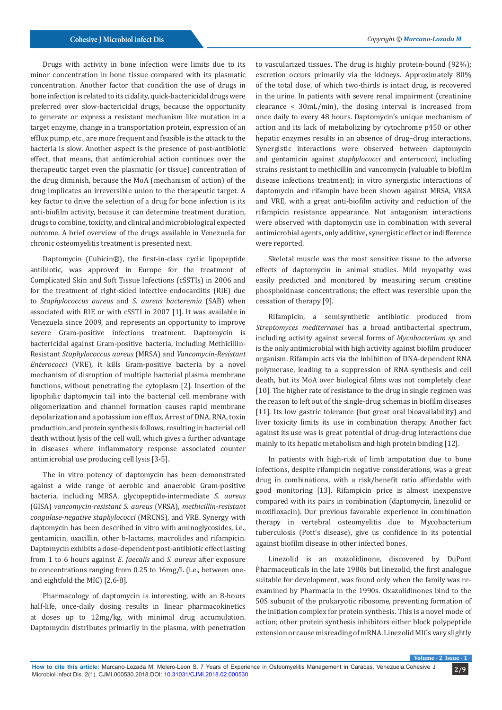Drugs with activity in bone infection were limits due to its minor concentration in bone tissue compared with its plasmatic concentration. Another factor that condition the use of drugs in bone infection is related to its cidality, quick-bactericidal drugs were preferred over slow-bactericidal drugs, because the opportunity to generate or express a resistant mechanism like mutation in a target enzyme, change in a transportation protein, expression of an efflux pump, etc., are more frequent and feasible is the attack to the bacteria is slow. Another aspect is the presence of post-antibiotic effect, that means, that antimicrobial action continues over the therapeutic target even the plasmatic (or tissue) concentration of the drug diminish, because the MoA (mechanism of action) of the drug implicates an irreversible union to the therapeutic target. A key factor to drive the selection of a drug for bone infection is its anti-biofilm activity, because it can determine treatment duration, drugs to combine, toxicity, and clinical and microbiological expected outcome. A brief overview of the drugs available in Venezuela for chronic osteomyelitis treatment is presented next.

Daptomycin (Cubicin®), the first-in-class cyclic lipopeptide antibiotic, was approved in Europe for the treatment of Complicated Skin and Soft Tissue Infections (cSSTIs) in 2006 and for the treatment of right-sided infective endocarditis (RIE) due to *Staphylococcus aureus* and *S. aureus bacteremia* (SAB) when associated with RIE or with cSSTI in 2007 [1]. It was available in Venezuela since 2009, and represents an opportunity to improve severe Gram-positive infections treatment. Daptomycin is bactericidal against Gram-positive bacteria, including Methicillin-Resistant *Staphylococcus aureus* (MRSA) and *Vancomycin-Resistant Enterococci* (VRE), it kills Gram-positive bacteria by a novel mechanism of disruption of multiple bacterial plasma membrane functions, without penetrating the cytoplasm [2]. Insertion of the lipophilic daptomycin tail into the bacterial cell membrane with oligomerization and channel formation causes rapid membrane depolarization and a potassium ion efflux. Arrest of DNA, RNA, toxin production, and protein synthesis follows, resulting in bacterial cell death without lysis of the cell wall, which gives a further advantage in diseases where inflammatory response associated counter antimicrobial use producing cell lysis [3-5].

The in vitro potency of daptomycin has been demonstrated against a wide range of aerobic and anaerobic Gram-positive bacteria, including MRSA, glycopeptide-intermediate *S. aureus* (GISA) *vancomycin-resistant S. aureus* (VRSA), *methicillin-resistant coagulase-negative staphylococci* (MRCNS), and VRE. Synergy with daptomycin has been described in vitro with aminoglycosides, i.e., gentamicin, oxacillin, other b-lactams, macrolides and rifampicin. Daptomycin exhibits a dose-dependent post-antibiotic effect lasting from 1 to 6 hours against *E. faecalis* and *S. aureus* after exposure to concentrations ranging from 0.25 to 16mg/L (i.e., between oneand eightfold the MIC) [2,6-8].

Pharmacology of daptomycin is interesting, with an 8-hours half-life, once-daily dosing results in linear pharmacokinetics at doses up to 12mg/kg, with minimal drug accumulation. Daptomycin distributes primarily in the plasma, with penetration to vascularized tissues. The drug is highly protein-bound (92%); excretion occurs primarily via the kidneys. Approximately 80% of the total dose, of which two-thirds is intact drug, is recovered in the urine. In patients with severe renal impairment (creatinine clearance < 30mL/min), the dosing interval is increased from once daily to every 48 hours. Daptomycin's unique mechanism of action and its lack of metabolizing by cytochrome p450 or other hepatic enzymes results in an absence of drug–drug interactions. Synergistic interactions were observed between daptomycin and gentamicin against *staphylococci* and *enterococci*, including strains resistant to methicillin and vancomycin (valuable to biofilm disease infections treatment); in vitro synergistic interactions of daptomycin and rifampin have been shown against MRSA, VRSA and VRE, with a great anti-biofilm activity and reduction of the rifampicin resistance appearance. Not antagonism interactions were observed with daptomycin use in combination with several antimicrobial agents, only additive, synergistic effect or indifference were reported.

Skeletal muscle was the most sensitive tissue to the adverse effects of daptomycin in animal studies. Mild myopathy was easily predicted and monitored by measuring serum creatine phosphokinase concentrations; the effect was reversible upon the cessation of therapy [9].

Rifampicin, a semisynthetic antibiotic produced from *Streptomyces mediterranei* has a broad antibacterial spectrum, including activity against several forms of *Mycobacterium sp.* and is the only antimicrobial with high activity against biofilm producer organism. Rifampin acts via the inhibition of DNA-dependent RNA polymerase, leading to a suppression of RNA synthesis and cell death, but its MoA over biological films was not completely clear [10]. The higher rate of resistance to the drug in single regimen was the reason to left out of the single-drug schemas in biofilm diseases [11]. Its low gastric tolerance (but great oral bioavailability) and liver toxicity limits its use in combination therapy. Another fact against its use was is great potential of drug-drug interactions due mainly to its hepatic metabolism and high protein binding [12].

In patients with high-risk of limb amputation due to bone infections, despite rifampicin negative considerations, was a great drug in combinations, with a risk/benefit ratio affordable with good monitoring [13]. Rifampicin price is almost inexpensive compared with its pairs in combination (daptomycin, linezolid or moxifloxacin). Our previous favorable experience in combination therapy in vertebral osteomyelitis due to Mycobacterium tuberculosis (Pott's disease), give us confidence in its potential against biofilm disease in other infected bones.

Linezolid is an oxazolidinone, discovered by DuPont Pharmaceuticals in the late 1980s but linezolid, the first analogue suitable for development, was found only when the family was reexamined by Pharmacia in the 1990s. Oxazolidinones bind to the 50S subunit of the prokaryotic ribosome, preventing formation of the initiation complex for protein synthesis. This is a novel mode of action; other protein synthesis inhibitors either block polypeptide extension or cause misreading of mRNA. Linezolid MICs vary slightly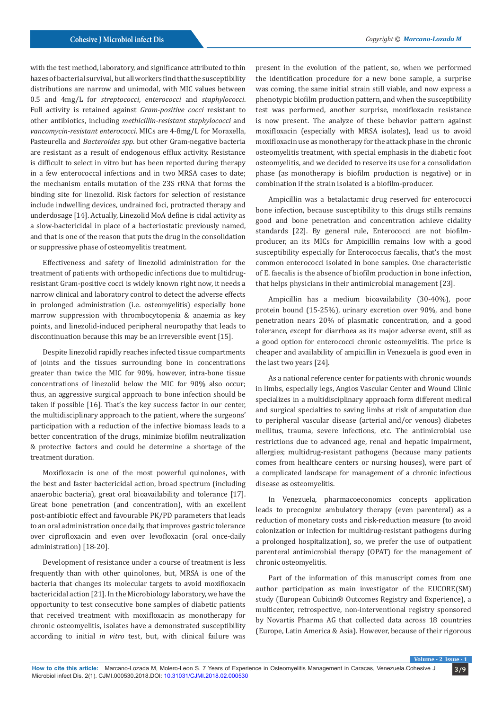with the test method, laboratory, and significance attributed to thin hazes of bacterial survival, but all workers find that the susceptibility distributions are narrow and unimodal, with MIC values between 0.5 and 4mg/L for *streptococci*, *enterococci* and *staphylococci*. Full activity is retained against *Gram-positive cocci* resistant to other antibiotics, including *methicillin-resistant staphylococci* and *vancomycin-resistant enterococci*. MICs are 4-8mg/L for Moraxella, Pasteurella and *Bacteroides spp*. but other Gram-negative bacteria are resistant as a result of endogenous efflux activity. Resistance is difficult to select in vitro but has been reported during therapy in a few enterococcal infections and in two MRSA cases to date; the mechanism entails mutation of the 23S rRNA that forms the binding site for linezolid. Risk factors for selection of resistance include indwelling devices, undrained foci, protracted therapy and underdosage [14]. Actually, Linezolid MoA define is cidal activity as a slow-bactericidal in place of a bacteriostatic previously named, and that is one of the reason that puts the drug in the consolidation or suppressive phase of osteomyelitis treatment.

Effectiveness and safety of linezolid administration for the treatment of patients with orthopedic infections due to multidrugresistant Gram-positive cocci is widely known right now, it needs a narrow clinical and laboratory control to detect the adverse effects in prolonged administration (i.e. osteomyelitis) especially bone marrow suppression with thrombocytopenia & anaemia as key points, and linezolid-induced peripheral neuropathy that leads to discontinuation because this may be an irreversible event [15].

Despite linezolid rapidly reaches infected tissue compartments of joints and the tissues surrounding bone in concentrations greater than twice the MIC for 90%, however, intra-bone tissue concentrations of linezolid below the MIC for 90% also occur; thus, an aggressive surgical approach to bone infection should be taken if possible [16]. That's the key success factor in our center, the multidisciplinary approach to the patient, where the surgeons' participation with a reduction of the infective biomass leads to a better concentration of the drugs, minimize biofilm neutralization & protective factors and could be determine a shortage of the treatment duration.

Moxifloxacin is one of the most powerful quinolones, with the best and faster bactericidal action, broad spectrum (including anaerobic bacteria), great oral bioavailability and tolerance [17]. Great bone penetration (and concentration), with an excellent post-antibiotic effect and favourable PK/PD parameters that leads to an oral administration once daily, that improves gastric tolerance over ciprofloxacin and even over levofloxacin (oral once-daily administration) [18-20].

Development of resistance under a course of treatment is less frequently than with other quinolones, but, MRSA is one of the bacteria that changes its molecular targets to avoid moxifloxacin bactericidal action [21]. In the Microbiology laboratory, we have the opportunity to test consecutive bone samples of diabetic patients that received treatment with moxifloxacin as monotherapy for chronic osteomyelitis, isolates have a demonstrated susceptibility according to initial *in vitro* test, but, with clinical failure was

present in the evolution of the patient, so, when we performed the identification procedure for a new bone sample, a surprise was coming, the same initial strain still viable, and now express a phenotypic biofilm production pattern, and when the susceptibility test was performed, another surprise, moxifloxacin resistance is now present. The analyze of these behavior pattern against moxifloxacin (especially with MRSA isolates), lead us to avoid moxifloxacin use as monotherapy for the attack phase in the chronic osteomyelitis treatment, with special emphasis in the diabetic foot osteomyelitis, and we decided to reserve its use for a consolidation phase (as monotherapy is biofilm production is negative) or in combination if the strain isolated is a biofilm-producer.

Ampicillin was a betalactamic drug reserved for enterococci bone infection, because susceptibility to this drugs stills remains good and bone penetration and concentration achieve cidality standards [22]. By general rule, Enterococci are not biofilmproducer, an its MICs for Ampicillin remains low with a good susceptibility especially for Enterococcus faecalis, that's the most common enterococci isolated in bone samples. One characteristic of E. faecalis is the absence of biofilm production in bone infection, that helps physicians in their antimicrobial management [23].

Ampicillin has a medium bioavailability (30-40%), poor protein bound (15-25%), urinary excretion over 90%, and bone penetration nears 20% of plasmatic concentration, and a good tolerance, except for diarrhoea as its major adverse event, still as a good option for enterococci chronic osteomyelitis. The price is cheaper and availability of ampicillin in Venezuela is good even in the last two years [24].

As a national reference center for patients with chronic wounds in limbs, especially legs, Angios Vascular Center and Wound Clinic specializes in a multidisciplinary approach form different medical and surgical specialties to saving limbs at risk of amputation due to peripheral vascular disease (arterial and/or venous) diabetes mellitus, trauma, severe infections, etc. The antimicrobial use restrictions due to advanced age, renal and hepatic impairment, allergies; multidrug-resistant pathogens (because many patients comes from healthcare centers or nursing houses), were part of a complicated landscape for management of a chronic infectious disease as osteomyelitis.

In Venezuela, pharmacoeconomics concepts application leads to precognize ambulatory therapy (even parenteral) as a reduction of monetary costs and risk-reduction measure (to avoid colonization or infection for multidrug-resistant pathogens during a prolonged hospitalization), so, we prefer the use of outpatient parenteral antimicrobial therapy (OPAT) for the management of chronic osteomyelitis.

Part of the information of this manuscript comes from one author participation as main investigator of the EUCORE(SM) study (European Cubicin® Outcomes Registry and Experience), a multicenter, retrospective, non-interventional registry sponsored by Novartis Pharma AG that collected data across 18 countries (Europe, Latin America & Asia). However, because of their rigorous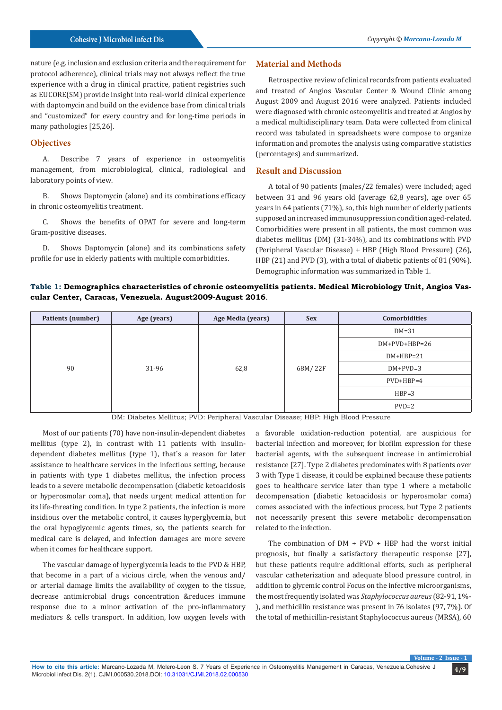#### **Cohesive J Microbiol infect Dis** *Copyright © Marcano-Lozada M*

nature (e.g. inclusion and exclusion criteria and the requirement for protocol adherence), clinical trials may not always reflect the true experience with a drug in clinical practice, patient registries such as EUCORE(SM) provide insight into real-world clinical experience with daptomycin and build on the evidence base from clinical trials and "customized" for every country and for long-time periods in many pathologies [25,26].

# **Objectives**

A. Describe 7 years of experience in osteomyelitis management, from microbiological, clinical, radiological and laboratory points of view.

B. Shows Daptomycin (alone) and its combinations efficacy in chronic osteomyelitis treatment.

C. Shows the benefits of OPAT for severe and long-term Gram-positive diseases.

D. Shows Daptomycin (alone) and its combinations safety profile for use in elderly patients with multiple comorbidities.

#### **Material and Methods**

Retrospective review of clinical records from patients evaluated and treated of Angios Vascular Center & Wound Clinic among August 2009 and August 2016 were analyzed. Patients included were diagnosed with chronic osteomyelitis and treated at Angios by a medical multidisciplinary team. Data were collected from clinical record was tabulated in spreadsheets were compose to organize information and promotes the analysis using comparative statistics (percentages) and summarized.

#### **Result and Discussion**

A total of 90 patients (males/22 females) were included; aged between 31 and 96 years old (average 62,8 years), age over 65 years in 64 patients (71%), so, this high number of elderly patients supposed an increased immunosuppression condition aged-related. Comorbidities were present in all patients, the most common was diabetes mellitus (DM) (31-34%), and its combinations with PVD (Peripheral Vascular Disease) + HBP (High Blood Pressure) (26), HBP (21) and PVD (3), with a total of diabetic patients of 81 (90%). Demographic information was summarized in Table 1.

#### **Table 1: Demographics characteristics of chronic osteomyelitis patients. Medical Microbiology Unit, Angios Vascular Center, Caracas, Venezuela. August2009-August 2016**.

| Patients (number) | Age (years) | Age Media (years) | <b>Sex</b> | Comorbidities   |  |
|-------------------|-------------|-------------------|------------|-----------------|--|
| 90                | 31-96       | 62,8              | 68M/22F    | $DM=31$         |  |
|                   |             |                   |            | $DM+PVD+HBP=26$ |  |
|                   |             |                   |            | $DM+HBP=21$     |  |
|                   |             |                   |            | $DM+PVD=3$      |  |
|                   |             |                   |            | $PVD+HBP=4$     |  |
|                   |             |                   |            | $HBP=3$         |  |
|                   |             |                   |            | $PVD=2$         |  |

DM: Diabetes Mellitus; PVD: Peripheral Vascular Disease; HBP: High Blood Pressure

Most of our patients (70) have non-insulin-dependent diabetes mellitus (type 2), in contrast with 11 patients with insulindependent diabetes mellitus (type 1), that´s a reason for later assistance to healthcare services in the infectious setting, because in patients with type 1 diabetes mellitus, the infection process leads to a severe metabolic decompensation (diabetic ketoacidosis or hyperosmolar coma), that needs urgent medical attention for its life-threating condition. In type 2 patients, the infection is more insidious over the metabolic control, it causes hyperglycemia, but the oral hypoglycemic agents times, so, the patients search for medical care is delayed, and infection damages are more severe when it comes for healthcare support.

The vascular damage of hyperglycemia leads to the PVD & HBP, that become in a part of a vicious circle, when the venous and/ or arterial damage limits the availability of oxygen to the tissue, decrease antimicrobial drugs concentration &reduces immune response due to a minor activation of the pro-inflammatory mediators & cells transport. In addition, low oxygen levels with

a favorable oxidation-reduction potential, are auspicious for bacterial infection and moreover, for biofilm expression for these bacterial agents, with the subsequent increase in antimicrobial resistance [27]. Type 2 diabetes predominates with 8 patients over 3 with Type 1 disease, it could be explained because these patients goes to healthcare service later than type 1 where a metabolic decompensation (diabetic ketoacidosis or hyperosmolar coma) comes associated with the infectious process, but Type 2 patients not necessarily present this severe metabolic decompensation related to the infection.

The combination of DM + PVD + HBP had the worst initial prognosis, but finally a satisfactory therapeutic response [27], but these patients require additional efforts, such as peripheral vascular catheterization and adequate blood pressure control, in addition to glycemic control Focus on the infective microorganisms, the most frequently isolated was *Staphylococcus aureus* (82-91, 1%- ), and methicillin resistance was present in 76 isolates (97, 7%). Of the total of methicillin-resistant Staphylococcus aureus (MRSA), 60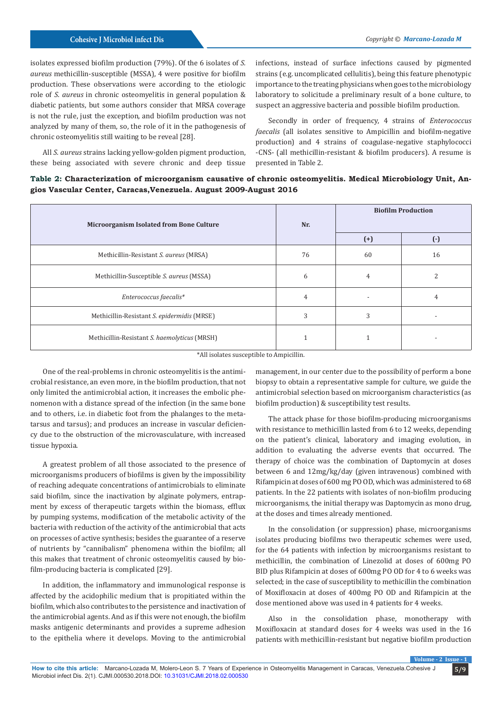isolates expressed biofilm production (79%). Of the 6 isolates of *S. aureus* methicillin-susceptible (MSSA), 4 were positive for biofilm production. These observations were according to the etiologic role of *S. aureus* in chronic osteomyelitis in general population & diabetic patients, but some authors consider that MRSA coverage is not the rule, just the exception, and biofilm production was not analyzed by many of them, so, the role of it in the pathogenesis of chronic osteomyelitis still waiting to be reveal [28].

All *S. aureus* strains lacking yellow-golden pigment production, these being associated with severe chronic and deep tissue

infections, instead of surface infections caused by pigmented strains (e.g. uncomplicated cellulitis), being this feature phenotypic importance to the treating physicians when goes to the microbiology laboratory to solicitude a preliminary result of a bone culture, to suspect an aggressive bacteria and possible biofilm production.

Secondly in order of frequency, 4 strains of *Enterococcus faecalis* (all isolates sensitive to Ampicillin and biofilm-negative production) and 4 strains of coagulase-negative staphylococci -CNS- (all methicillin-resistant & biofilm producers). A resume is presented in Table 2.

| Table 2: Characterization of microorganism causative of chronic osteomyelitis. Medical Microbiology Unit, An- |  |
|---------------------------------------------------------------------------------------------------------------|--|
| gios Vascular Center, Caracas, Venezuela. August 2009-August 2016                                             |  |

| Microorganism Isolated from Bone Culture     | Nr. | <b>Biofilm Production</b> |           |  |
|----------------------------------------------|-----|---------------------------|-----------|--|
|                                              |     | $(+)$                     | $(\cdot)$ |  |
| Methicillin-Resistant S. aureus (MRSA)       | 76  | 60                        | 16        |  |
| Methicillin-Susceptible S. aureus (MSSA)     | 6   | 4                         |           |  |
| Enterococcus faecalis*                       | 4   |                           |           |  |
| Methicillin-Resistant S. epidermidis (MRSE)  | 3   | 3                         |           |  |
| Methicillin-Resistant S. haemolyticus (MRSH) |     |                           |           |  |

\*All isolates susceptible to Ampicillin.

One of the real-problems in chronic osteomyelitis is the antimicrobial resistance, an even more, in the biofilm production, that not only limited the antimicrobial action, it increases the embolic phenomenon with a distance spread of the infection (in the same bone and to others, i.e. in diabetic foot from the phalanges to the metatarsus and tarsus); and produces an increase in vascular deficiency due to the obstruction of the microvasculature, with increased tissue hypoxia.

A greatest problem of all those associated to the presence of microorganisms producers of biofilms is given by the impossibility of reaching adequate concentrations of antimicrobials to eliminate said biofilm, since the inactivation by alginate polymers, entrapment by excess of therapeutic targets within the biomass, efflux by pumping systems, modification of the metabolic activity of the bacteria with reduction of the activity of the antimicrobial that acts on processes of active synthesis; besides the guarantee of a reserve of nutrients by "cannibalism" phenomena within the biofilm; all this makes that treatment of chronic osteomyelitis caused by biofilm-producing bacteria is complicated [29].

In addition, the inflammatory and immunological response is affected by the acidophilic medium that is propitiated within the biofilm, which also contributes to the persistence and inactivation of the antimicrobial agents. And as if this were not enough, the biofilm masks antigenic determinants and provides a supreme adhesion to the epithelia where it develops. Moving to the antimicrobial

management, in our center due to the possibility of perform a bone biopsy to obtain a representative sample for culture, we guide the antimicrobial selection based on microorganism characteristics (as biofilm production) & susceptibility test results.

The attack phase for those biofilm-producing microorganisms with resistance to methicillin lasted from 6 to 12 weeks, depending on the patient's clinical, laboratory and imaging evolution, in addition to evaluating the adverse events that occurred. The therapy of choice was the combination of Daptomycin at doses between 6 and 12mg/kg/day (given intravenous) combined with Rifampicin at doses of 600 mg PO OD, which was administered to 68 patients. In the 22 patients with isolates of non-biofilm producing microorganisms, the initial therapy was Daptomycin as mono drug, at the doses and times already mentioned.

In the consolidation (or suppression) phase, microorganisms isolates producing biofilms two therapeutic schemes were used, for the 64 patients with infection by microorganisms resistant to methicillin, the combination of Linezolid at doses of 600mg PO BID plus Rifampicin at doses of 600mg PO OD for 4 to 6 weeks was selected; in the case of susceptibility to methicillin the combination of Moxifloxacin at doses of 400mg PO OD and Rifampicin at the dose mentioned above was used in 4 patients for 4 weeks.

Also in the consolidation phase, monotherapy with Moxifloxacin at standard doses for 4 weeks was used in the 16 patients with methicillin-resistant but negative biofilm production

**Volume - 2 Is**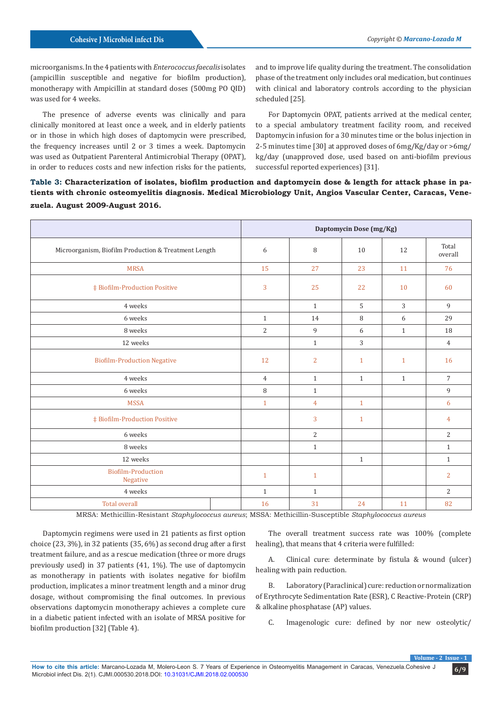microorganisms. In the 4 patients with *Enterococcus faecalis* isolates (ampicillin susceptible and negative for biofilm production), monotherapy with Ampicillin at standard doses (500mg PO QID) was used for 4 weeks.

The presence of adverse events was clinically and para clinically monitored at least once a week, and in elderly patients or in those in which high doses of daptomycin were prescribed, the frequency increases until 2 or 3 times a week. Daptomycin was used as Outpatient Parenteral Antimicrobial Therapy (OPAT), in order to reduces costs and new infection risks for the patients,

and to improve life quality during the treatment. The consolidation phase of the treatment only includes oral medication, but continues with clinical and laboratory controls according to the physician scheduled [25].

For Daptomycin OPAT, patients arrived at the medical center, to a special ambulatory treatment facility room, and received Daptomycin infusion for a 30 minutes time or the bolus injection in 2-5 minutes time [30] at approved doses of 6mg/Kg/day or >6mg/ kg/day (unapproved dose, used based on anti-biofilm previous successful reported experiences) [31].

**Table 3: Characterization of isolates, biofilm production and daptomycin dose & length for attack phase in patients with chronic osteomyelitis diagnosis. Medical Microbiology Unit, Angios Vascular Center, Caracas, Venezuela. August 2009-August 2016.**

|                                                      | Daptomycin Dose (mg/Kg) |                |              |              |                  |
|------------------------------------------------------|-------------------------|----------------|--------------|--------------|------------------|
| Microorganism, Biofilm Production & Treatment Length | 6                       | 8              | 10           | 12           | Total<br>overall |
| <b>MRSA</b>                                          | 15                      | 27             | 23           | 11           | 76               |
| <b>‡ Biofilm-Production Positive</b>                 | 3                       | 25             | 22           | 10           | 60               |
| 4 weeks                                              |                         | $\mathbf{1}$   | 5            | 3            | 9                |
| 6 weeks                                              | $\mathbf{1}$            | 14             | 8            | 6            | 29               |
| 8 weeks                                              | $\overline{2}$          | 9              | 6            | $\mathbf{1}$ | 18               |
| 12 weeks                                             |                         | $\mathbf{1}$   | 3            |              | $\overline{4}$   |
| <b>Biofilm-Production Negative</b>                   | 12                      | $\overline{2}$ | $\mathbf{1}$ | $\mathbf{1}$ | 16               |
| 4 weeks                                              | $\overline{4}$          | $\mathbf{1}$   | $\mathbf{1}$ | $\mathbf{1}$ | $\overline{7}$   |
| 6 weeks                                              | 8                       | $\mathbf{1}$   |              |              | 9                |
| <b>MSSA</b>                                          | $\mathbf{1}$            | $\overline{4}$ | $\mathbf{1}$ |              | 6                |
| <b>‡ Biofilm-Production Positive</b>                 |                         | 3              | $\mathbf{1}$ |              | 4                |
| 6 weeks                                              |                         | $\overline{2}$ |              |              | $\overline{2}$   |
| 8 weeks                                              |                         | $\mathbf{1}$   |              |              | $\mathbf{1}$     |
| 12 weeks                                             |                         |                | $\mathbf{1}$ |              | $\mathbf{1}$     |
| <b>Biofilm-Production</b><br>Negative                | $\mathbf{1}$            | $\mathbf{1}$   |              |              | $\overline{2}$   |
| 4 weeks                                              | $\mathbf{1}$            | $\mathbf{1}$   |              |              | $\overline{c}$   |
| <b>Total overall</b>                                 | 16                      | 31             | 24           | 11           | 82               |

MRSA: Methicillin-Resistant *Staphylococcus aureus*; MSSA: Methicillin-Susceptible *Staphylococcus aureus*

Daptomycin regimens were used in 21 patients as first option choice (23, 3%), in 32 patients (35, 6%) as second drug after a first treatment failure, and as a rescue medication (three or more drugs previously used) in 37 patients (41, 1%). The use of daptomycin as monotherapy in patients with isolates negative for biofilm production, implicates a minor treatment length and a minor drug dosage, without compromising the final outcomes. In previous observations daptomycin monotherapy achieves a complete cure in a diabetic patient infected with an isolate of MRSA positive for biofilm production [32] (Table 4).

The overall treatment success rate was 100% (complete healing), that means that 4 criteria were fulfilled:

A. Clinical cure: determinate by fistula & wound (ulcer) healing with pain reduction.

B. Laboratory (Paraclinical) cure: reduction or normalization of Erythrocyte Sedimentation Rate (ESR), C Reactive-Protein (CRP) & alkaline phosphatase (AP) values.

C. Imagenologic cure: defined by nor new osteolytic/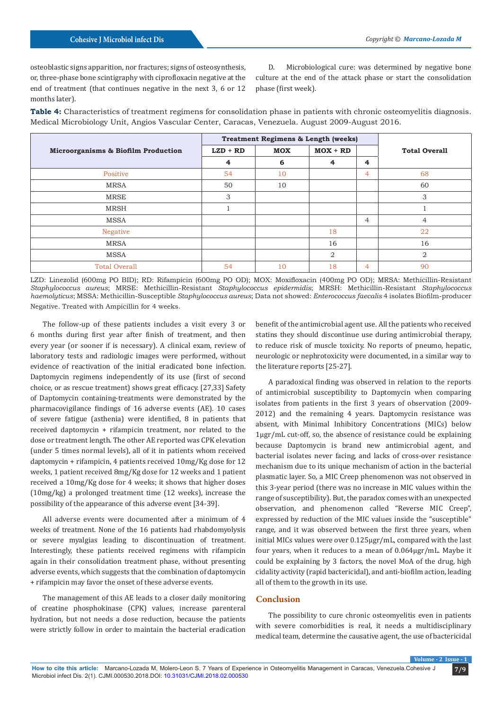osteoblastic signs apparition, nor fractures; signs of osteosynthesis, or, three-phase bone scintigraphy with ciprofloxacin negative at the end of treatment (that continues negative in the next 3, 6 or 12 months later).

D. Microbiological cure: was determined by negative bone culture at the end of the attack phase or start the consolidation phase (first week).

**Table 4:** Characteristics of treatment regimens for consolidation phase in patients with chronic osteomyelitis diagnosis. Medical Microbiology Unit, Angios Vascular Center, Caracas, Venezuela. August 2009-August 2016.

|                                     | <b>Treatment Regimens &amp; Length (weeks)</b> |            |                |                |                      |
|-------------------------------------|------------------------------------------------|------------|----------------|----------------|----------------------|
| Microorganisms & Biofilm Production | $LZD + RD$                                     | <b>MOX</b> | $MOX + RD$     |                | <b>Total Overall</b> |
|                                     | 4                                              | 6          | 4              | $\overline{4}$ |                      |
| Positive                            | 54                                             | 10         |                | 4              | 68                   |
| <b>MRSA</b>                         | 50                                             | 10         |                |                | 60                   |
| <b>MRSE</b>                         | 3                                              |            |                |                | 3                    |
| <b>MRSH</b>                         |                                                |            |                |                |                      |
| <b>MSSA</b>                         |                                                |            |                | $\overline{4}$ | $\overline{4}$       |
| Negative                            |                                                |            | 18             |                | 22                   |
| <b>MRSA</b>                         |                                                |            | 16             |                | 16                   |
| <b>MSSA</b>                         |                                                |            | $\overline{2}$ |                | $\overline{2}$       |
| <b>Total Overall</b>                | 54                                             | 10         | 18             | 4              | 90                   |

LZD: Linezolid (600mg PO BID); RD: Rifampicin (600mg PO OD); MOX: Moxifloxacin (400mg PO OD); MRSA: Methicillin-Resistant *Staphylococcus aureus*; MRSE: Methicillin-Resistant *Staphylococcus epidermidis*; MRSH: Methicillin-Resistant *Staphylococcus haemolyticus*; MSSA: Methicillin-Susceptible *Staphylococcus aureus*; Data not showed: *Enterococcus faecalis* 4 isolates Biofilm-producer Negative. Treated with Ampicillin for 4 weeks.

The follow-up of these patients includes a visit every 3 or 6 months during first year after finish of treatment, and then every year (or sooner if is necessary). A clinical exam, review of laboratory tests and radiologic images were performed, without evidence of reactivation of the initial eradicated bone infection. Daptomycin regimens independently of its use (first of second choice, or as rescue treatment) shows great efficacy. [27,33] Safety of Daptomycin containing-treatments were demonstrated by the pharmacovigilance findings of 16 adverse events (AE). 10 cases of severe fatigue (asthenia) were identified, 8 in patients that received daptomycin + rifampicin treatment, nor related to the dose or treatment length. The other AE reported was CPK elevation (under 5 times normal levels), all of it in patients whom received daptomycin + rifampicin, 4 patients received 10mg/Kg dose for 12 weeks, 1 patient received 8mg/Kg dose for 12 weeks and 1 patient received a 10mg/Kg dose for 4 weeks; it shows that higher doses (10mg/kg) a prolonged treatment time (12 weeks), increase the possibility of the appearance of this adverse event [34-39].

All adverse events were documented after a minimum of 4 weeks of treatment. None of the 16 patients had rhabdomyolysis or severe myalgias leading to discontinuation of treatment. Interestingly, these patients received regimens with rifampicin again in their consolidation treatment phase, without presenting adverse events, which suggests that the combination of daptomycin + rifampicin may favor the onset of these adverse events.

The management of this AE leads to a closer daily monitoring of creatine phosphokinase (CPK) values, increase parenteral hydration, but not needs a dose reduction, because the patients were strictly follow in order to maintain the bacterial eradication benefit of the antimicrobial agent use. All the patients who received statins they should discontinue use during antimicrobial therapy, to reduce risk of muscle toxicity. No reports of pneumo, hepatic, neurologic or nephrotoxicity were documented, in a similar way to the literature reports [25-27].

A paradoxical finding was observed in relation to the reports of antimicrobial susceptibility to Daptomycin when comparing isolates from patients in the first 3 years of observation (2009- 2012) and the remaining 4 years. Daptomycin resistance was absent, with Minimal Inhibitory Concentrations (MICs) below 1μgr/mL cut-off, so, the absence of resistance could be explaining because Daptomycin is brand new antimicrobial agent, and bacterial isolates never facing, and lacks of cross-over resistance mechanism due to its unique mechanism of action in the bacterial plasmatic layer. So, a MIC Creep phenomenon was not observed in this 3-year period (there was no increase in MIC values within the range of susceptibility). But, the paradox comes with an unexpected observation, and phenomenon called "Reverse MIC Creep", expressed by reduction of the MIC values inside the "susceptible" range, and it was observed between the first three years, when initial MICs values were over 0.125μgr/mL, compared with the last four years, when it reduces to a mean of 0.064μgr/mL. Maybe it could be explaining by 3 factors, the novel MoA of the drug, high cidality activity (rapid bactericidal), and anti-biofilm action, leading all of them to the growth in its use.

# **Conclusion**

The possibility to cure chronic osteomyelitis even in patients with severe comorbidities is real, it needs a multidisciplinary medical team, determine the causative agent, the use of bactericidal

**Volume - 2 Is**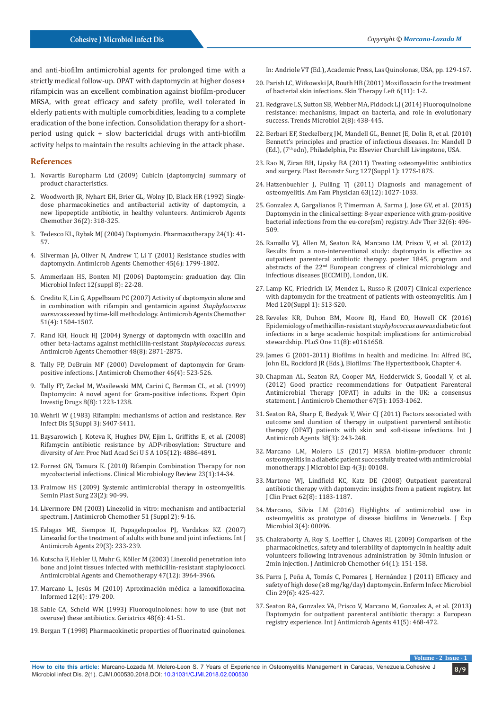and anti-biofilm antimicrobial agents for prolonged time with a strictly medical follow-up. OPAT with daptomycin at higher doses+ rifampicin was an excellent combination against biofilm-producer MRSA, with great efficacy and safety profile, well tolerated in elderly patients with multiple comorbidities, leading to a complete eradication of the bone infection. Consolidation therapy for a shortperiod using quick + slow bactericidal drugs with anti-biofilm activity helps to maintain the results achieving in the attack phase.

#### **References**

- 1. Novartis Europharm Ltd (2009) Cubicin (daptomycin) summary of product characteristics.
- 2. [Woodworth JR, Nyhart EH, Brier GL, Wolny JD, Black HR \(1992\) Single](https://www.ncbi.nlm.nih.gov/pubmed/1318678)[dose pharmacokinetics and antibacterial activity of daptomycin, a](https://www.ncbi.nlm.nih.gov/pubmed/1318678)  [new lipopeptide antibiotic, in healthy volunteers. Antimicrob Agents](https://www.ncbi.nlm.nih.gov/pubmed/1318678)  [Chemother 36\(2\): 318-325.](https://www.ncbi.nlm.nih.gov/pubmed/1318678)
- 3. [Tedesco KL, Rybak MJ \(2004\) Daptomycin. Pharmacotherapy 24\(1\): 41-](https://www.ncbi.nlm.nih.gov/pubmed/14740787) [57.](https://www.ncbi.nlm.nih.gov/pubmed/14740787)
- 4. [Silverman JA, Oliver N, Andrew T, Li T \(2001\) Resistance studies with](https://www.ncbi.nlm.nih.gov/pubmed/11353628/)  [daptomycin. Antimicrob Agents Chemother 45\(6\): 1799-1802.](https://www.ncbi.nlm.nih.gov/pubmed/11353628/)
- 5. [Ammerlaan HS, Bonten MJ \(2006\) Daptomycin: graduation day. Clin](https://www.sciencedirect.com/science/article/pii/S1198743X14628226)  [Microbiol Infect 12\(suppl 8\): 22-28.](https://www.sciencedirect.com/science/article/pii/S1198743X14628226)
- 6. [Credito K, Lin G, Appelbaum PC \(2007\) Activity of daptomycin alone and](http://aac.asm.org/content/51/4/1504)  [in combination with rifampin and gentamicin against](http://aac.asm.org/content/51/4/1504) *Staphylococcus aureus* [assessed by time-kill methodology. Antimicrob Agents Chemother](http://aac.asm.org/content/51/4/1504)  [51\(4\): 1504-1507.](http://aac.asm.org/content/51/4/1504)
- 7. [Rand KH, Houck HJ \(2004\) Synergy of daptomycin with oxacillin and](https://www.ncbi.nlm.nih.gov/pubmed/15273094)  [other beta-lactams against methicillin-resistant](https://www.ncbi.nlm.nih.gov/pubmed/15273094) *Staphylococcus aureus*. [Antimicrob Agents Chemother 48\(8\): 2871-2875.](https://www.ncbi.nlm.nih.gov/pubmed/15273094)
- 8. [Tally FP, DeBruin MF \(2000\) Development of daptomycin for Gram](https://www.ncbi.nlm.nih.gov/pubmed/11020247)[positive infections. J Antimicrob Chemother 46\(4\): 523-526.](https://www.ncbi.nlm.nih.gov/pubmed/11020247)
- 9. [Tally FP, Zeckel M, Wasilewski MM, Carini C, Berman CL, et al. \(1999\)](https://www.ncbi.nlm.nih.gov/pubmed/15992147)  [Daptomycin: A novel agent for Gram-positive infections. Expert Opin](https://www.ncbi.nlm.nih.gov/pubmed/15992147)  [Investig Drugs 8\(8\): 1223-1238.](https://www.ncbi.nlm.nih.gov/pubmed/15992147)
- 10. [Wehrli W \(1983\) Rifampin: mechanisms of action and resistance. Rev](https://www.ncbi.nlm.nih.gov/pubmed/6356275)  [Infect Dis 5\(Suppl 3\): S407-S411.](https://www.ncbi.nlm.nih.gov/pubmed/6356275)
- 11. [Baysarowich J, Koteva K, Hughes DW, Ejim L, Griffiths E, et al. \(2008\)](https://www.ncbi.nlm.nih.gov/pubmed/18349144)  [Rifamycin antibiotic resistance by ADP-ribosylation: Structure and](https://www.ncbi.nlm.nih.gov/pubmed/18349144)  [diversity of Arr. Proc Natl Acad Sci U S A 105\(12\): 4886-4891.](https://www.ncbi.nlm.nih.gov/pubmed/18349144)
- 12. [Forrest GN, Tamura K. \(2010\) Rifampin Combination Therapy for non](https://www.ncbi.nlm.nih.gov/pubmed/20065324/)  [mycobacterial infections. Clinical Microbiology Review 23\(1\):14-34.](https://www.ncbi.nlm.nih.gov/pubmed/20065324/)
- 13. [Fraimow HS \(2009\) Systemic antimicrobial therapy in osteomyelitis.](https://www.ncbi.nlm.nih.gov/pubmed/20567731)  [Semin Plast Surg 23\(2\): 90-99.](https://www.ncbi.nlm.nih.gov/pubmed/20567731)
- 14. [Livermore DM \(2003\) Linezolid in vitro: mechanism and antibacterial](https://www.ncbi.nlm.nih.gov/pubmed/12730138)  [spectrum. J Antimicrob Chemother 51 \(Suppl 2\): 9-16.](https://www.ncbi.nlm.nih.gov/pubmed/12730138)
- 15. [Falagas ME, Siempos II, Papagelopoulos PJ, Vardakas KZ \(2007\)](https://www.ncbi.nlm.nih.gov/pubmed/17204407)  [Linezolid for the treatment of adults with bone and joint infections. Int J](https://www.ncbi.nlm.nih.gov/pubmed/17204407)  [Antimicrob Agents 29\(3\): 233-239.](https://www.ncbi.nlm.nih.gov/pubmed/17204407)
- 16. [Kutscha F, Hebler U, Muhr G, Köller M \(2003\) Linezolid penetration into](http://aac.asm.org/content/47/12/3964.full)  [bone and joint tissues infected with methicillin-resistant staphylococci.](http://aac.asm.org/content/47/12/3964.full)  [Antimicrobial Agents and Chemotherapy 47\(12\): 3964-3966.](http://aac.asm.org/content/47/12/3964.full)
- 17. Marcano L, Jesús M (2010) Aproximación médica a lamoxifloxacina. Informed 12(4): 179-200.
- 18. Sable CA, Scheld WM (1993) Fluoroquinolones: how to use (but not overuse) these antibiotics. Geriatrics 48(6): 41-51.
- 19. Bergan T (1998) Pharmacokinetic properties of fluorinated quinolones.

In: Andriole VT (Ed.), Academic Press, Las Quinolonas, USA, pp. 129-167.

- 20. [Parish LC, Witkowski JA, Routh HB \(2001\) Moxifloxacin for the treatment](https://www.ncbi.nlm.nih.gov/pubmed/11719825) [of bacterial skin infections. Skin Therapy Left 6\(11\): 1-2.](https://www.ncbi.nlm.nih.gov/pubmed/11719825)
- 21. [Redgrave LS, Sutton SB, Webber MA, Piddock LJ \(2014\) Fluoroquinolone](https://www.ncbi.nlm.nih.gov/pubmed/24842194) [resistance: mechanisms, impact on bacteria, and role in evolutionary](https://www.ncbi.nlm.nih.gov/pubmed/24842194) [success. Trends Microbiol 2\(8\): 438-445.](https://www.ncbi.nlm.nih.gov/pubmed/24842194)
- 22. Berbari EF, Steckelberg JM, Mandell GL, Bennet JE, Dolin R, et al. (2010) Bennett's principles and practice of infectious diseases. In: Mandell D (Ed.), (7<sup>th</sup> edn), Philadelphia, Pa: Elsevier Churchill Livingstone, USA.
- 23. [Rao N, Ziran BH, Lipsky BA \(2011\) Treating osteomyelitis: antibiotics](https://www.ncbi.nlm.nih.gov/pubmed/21200289) [and surgery. Plast Reconstr Surg 127\(Suppl 1\): 177S-187S.](https://www.ncbi.nlm.nih.gov/pubmed/21200289)
- 24. [Hatzenbuehler J, Pulling TJ \(2011\) Diagnosis and management of](https://www.ncbi.nlm.nih.gov/pubmed/11430456) [osteomyelitis. Am Fam Physician 63\(12\): 1027-1033.](https://www.ncbi.nlm.nih.gov/pubmed/11430456)
- 25. [Gonzalez A, Gargalianos P, Timerman A, Sarma J, Jose GV, et al. \(2015\)](https://www.ncbi.nlm.nih.gov/pubmed/26108157) [Daptomycin in the clinical setting: 8-year experience with gram-positive](https://www.ncbi.nlm.nih.gov/pubmed/26108157) [bacterial infections from the eu-core\(sm\) registry. Adv Ther 32\(6\): 496-](https://www.ncbi.nlm.nih.gov/pubmed/26108157) [509.](https://www.ncbi.nlm.nih.gov/pubmed/26108157)
- 26. Ramallo VJ, Allen M, Seaton RA, Marcano LM, Prisco V, et al. (2012) Results from a non-interventional study: daptomycin is effective as outpatient parenteral antibiotic therapy. poster 1845, program and abstracts of the 22nd European congress of clinical microbiology and infectious diseases (ECCMID), London, UK.
- 27. [Lamp KC, Friedrich LV, Mendez L, Russo R \(2007\) Clinical experience](https://www.ncbi.nlm.nih.gov/pubmed/17904946) [with daptomycin for the treatment of patients with osteomyelitis. Am J](https://www.ncbi.nlm.nih.gov/pubmed/17904946) [Med 120\(Suppl 1\): S13-S20.](https://www.ncbi.nlm.nih.gov/pubmed/17904946)
- 28. [Reveles KR, Duhon BM, Moore RJ, Hand EO, Howell CK \(2016\)](https://www.ncbi.nlm.nih.gov/pubmed/27556897) [Epidemiology of methicillin-resistant](https://www.ncbi.nlm.nih.gov/pubmed/27556897) *staphylococcus aureus* diabetic foot [infections in a large academic hospital: implications for antimicrobial](https://www.ncbi.nlm.nih.gov/pubmed/27556897) [stewardship. PLoS One 11\(8\): e0161658.](https://www.ncbi.nlm.nih.gov/pubmed/27556897)
- 29. James G (2001-2011) Biofilms in health and medicine. In: Alfred BC, John EL, Rockford JR (Eds.), Biofilms: The Hypertextbook, Chapter 4.
- 30. [Chapman AL, Seaton RA, Cooper MA, Hedderwick S, Goodall V, et al.](https://www.ncbi.nlm.nih.gov/pubmed/22298347) [\(2012\) Good practice recommendations for Outpatient Parenteral](https://www.ncbi.nlm.nih.gov/pubmed/22298347) [Antimicrobial Therapy \(OPAT\) in adults in the UK: a consensus](https://www.ncbi.nlm.nih.gov/pubmed/22298347) [statement. J Antimicrob Chemother 67\(5\): 1053-1062.](https://www.ncbi.nlm.nih.gov/pubmed/22298347)
- 31. [Seaton RA, Sharp E, Bezlyak V, Weir CJ \(2011\) Factors associated with](https://www.ncbi.nlm.nih.gov/pubmed/21741221) [outcome and duration of therapy in outpatient parenteral antibiotic](https://www.ncbi.nlm.nih.gov/pubmed/21741221) [therapy \(OPAT\) patients with skin and soft-tissue infections. Int J](https://www.ncbi.nlm.nih.gov/pubmed/21741221) [Antimicrob Agents 38\(3\): 243-248.](https://www.ncbi.nlm.nih.gov/pubmed/21741221)
- 32. [Marcano LM, Molero LS \(2017\) MRSA biofilm-producer chronic](http://medcraveonline.com/JMEN/JMEN-04-00108.pdf) [osteomyelitis in a diabetic patient successfully treated with antimicrobial](http://medcraveonline.com/JMEN/JMEN-04-00108.pdf) [monotherapy. J Microbiol Exp 4\(3\): 00108.](http://medcraveonline.com/JMEN/JMEN-04-00108.pdf)
- 33. [Martone WJ, Lindfield KC, Katz DE \(2008\) Outpatient parenteral](https://www.ncbi.nlm.nih.gov/pubmed/18705821) [antibiotic therapy with daptomycin: insights from a patient registry. Int](https://www.ncbi.nlm.nih.gov/pubmed/18705821) [J Clin Pract 62\(8\): 1183-1187.](https://www.ncbi.nlm.nih.gov/pubmed/18705821)
- 34. [Marcano, Silvia LM \(2016\) Highlights of antimicrobial use in](http://medcraveonline.com/JMEN/JMEN-03-00096.pdf) [osteomyelitis as prototype of disease biofilms in Venezuela. J Exp](http://medcraveonline.com/JMEN/JMEN-03-00096.pdf) [Microbiol 3\(4\): 00096.](http://medcraveonline.com/JMEN/JMEN-03-00096.pdf)
- 35. [Chakraborty A, Roy S, Loeffler J, Chaves RL \(2009\) Comparison of the](https://www.ncbi.nlm.nih.gov/pubmed/19389714) [pharmacokinetics, safety and tolerability of daptomycin in healthy adult](https://www.ncbi.nlm.nih.gov/pubmed/19389714) [volunteers following intravenous administration by 30min infusion or](https://www.ncbi.nlm.nih.gov/pubmed/19389714) [2min injection. J Antimicrob Chemother 64\(1\): 151-158.](https://www.ncbi.nlm.nih.gov/pubmed/19389714)
- 36. [Parra J, Peña A, Tomás C, Pomares J, Hernández J \(2011\) Efficacy and](https://www.ncbi.nlm.nih.gov/pubmed/21501905) [safety of high dose \(≥8 mg/kg/day\) daptomycin. Enferm Infecc Microbiol](https://www.ncbi.nlm.nih.gov/pubmed/21501905) [Clin 29\(6\): 425-427.](https://www.ncbi.nlm.nih.gov/pubmed/21501905)
- 37. [Seaton RA, Gonzalez VA, Prisco V, Marcano M, Gonzalez A, et al. \(2013\)](https://www.ncbi.nlm.nih.gov/pubmed/23473943) [Daptomycin for outpatient parenteral antibiotic therapy: a European](https://www.ncbi.nlm.nih.gov/pubmed/23473943) [registry experience. Int J Antimicrob Agents 41\(5\): 468-472.](https://www.ncbi.nlm.nih.gov/pubmed/23473943)

**Volume - 2 Issue - 1**